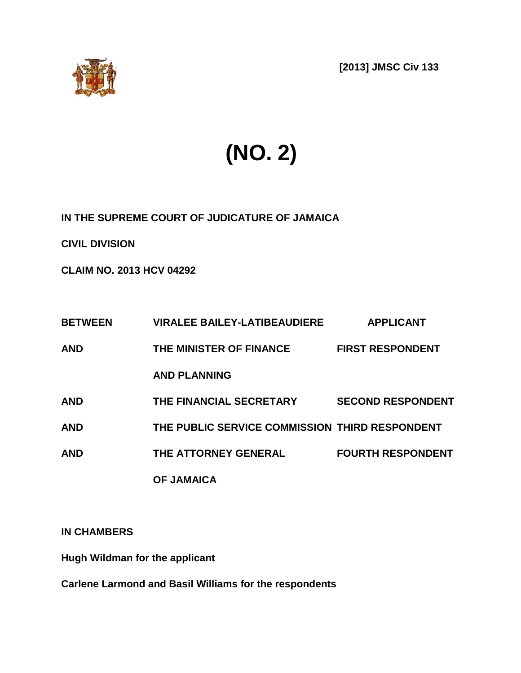

**[2013] JMSC Civ 133**

# **(NO. 2)**

**IN THE SUPREME COURT OF JUDICATURE OF JAMAICA** 

**CIVIL DIVISION**

**CLAIM NO. 2013 HCV 04292**

| <b>BETWEEN</b> | <b>VIRALEE BAILEY-LATIBEAUDIERE</b>            | <b>APPLICANT</b>         |
|----------------|------------------------------------------------|--------------------------|
| <b>AND</b>     | THE MINISTER OF FINANCE                        | <b>FIRST RESPONDENT</b>  |
|                | <b>AND PLANNING</b>                            |                          |
| <b>AND</b>     | THE FINANCIAL SECRETARY                        | <b>SECOND RESPONDENT</b> |
| <b>AND</b>     | THE PUBLIC SERVICE COMMISSION THIRD RESPONDENT |                          |
| <b>AND</b>     | THE ATTORNEY GENERAL                           | <b>FOURTH RESPONDENT</b> |
|                | <b>OF JAMAICA</b>                              |                          |

**IN CHAMBERS**

**Hugh Wildman for the applicant**

**Carlene Larmond and Basil Williams for the respondents**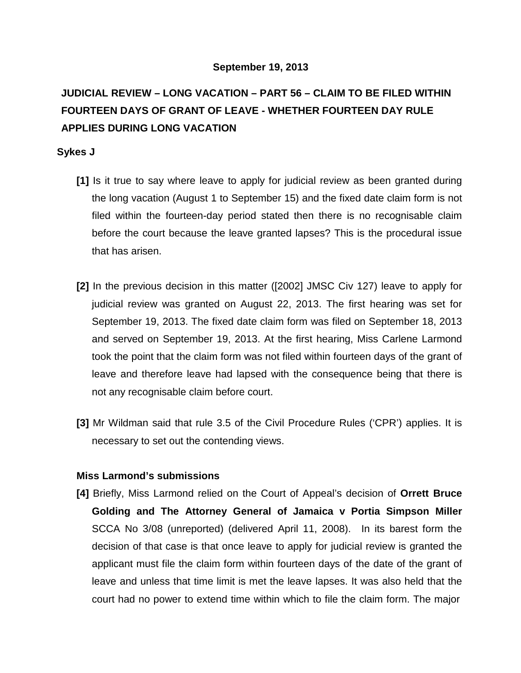#### **September 19, 2013**

# **JUDICIAL REVIEW – LONG VACATION – PART 56 – CLAIM TO BE FILED WITHIN FOURTEEN DAYS OF GRANT OF LEAVE - WHETHER FOURTEEN DAY RULE APPLIES DURING LONG VACATION**

## **Sykes J**

- **[1]** Is it true to say where leave to apply for judicial review as been granted during the long vacation (August 1 to September 15) and the fixed date claim form is not filed within the fourteen-day period stated then there is no recognisable claim before the court because the leave granted lapses? This is the procedural issue that has arisen.
- **[2]** In the previous decision in this matter ([2002] JMSC Civ 127) leave to apply for judicial review was granted on August 22, 2013. The first hearing was set for September 19, 2013. The fixed date claim form was filed on September 18, 2013 and served on September 19, 2013. At the first hearing, Miss Carlene Larmond took the point that the claim form was not filed within fourteen days of the grant of leave and therefore leave had lapsed with the consequence being that there is not any recognisable claim before court.
- **[3]** Mr Wildman said that rule 3.5 of the Civil Procedure Rules ('CPR') applies. It is necessary to set out the contending views.

# **Miss Larmond's submissions**

**[4]** Briefly, Miss Larmond relied on the Court of Appeal's decision of **Orrett Bruce Golding and The Attorney General of Jamaica v Portia Simpson Miller**  SCCA No 3/08 (unreported) (delivered April 11, 2008). In its barest form the decision of that case is that once leave to apply for judicial review is granted the applicant must file the claim form within fourteen days of the date of the grant of leave and unless that time limit is met the leave lapses. It was also held that the court had no power to extend time within which to file the claim form. The major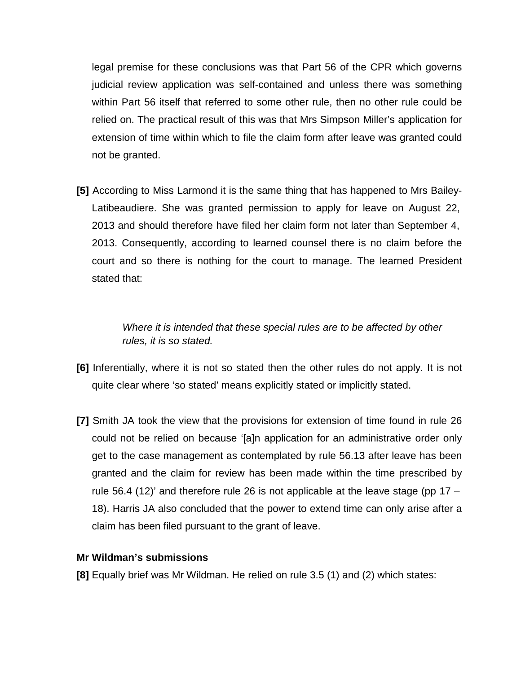legal premise for these conclusions was that Part 56 of the CPR which governs judicial review application was self-contained and unless there was something within Part 56 itself that referred to some other rule, then no other rule could be relied on. The practical result of this was that Mrs Simpson Miller's application for extension of time within which to file the claim form after leave was granted could not be granted.

**[5]** According to Miss Larmond it is the same thing that has happened to Mrs Bailey-Latibeaudiere. She was granted permission to apply for leave on August 22, 2013 and should therefore have filed her claim form not later than September 4, 2013. Consequently, according to learned counsel there is no claim before the court and so there is nothing for the court to manage. The learned President stated that:

> *Where it is intended that these special rules are to be affected by other rules, it is so stated.*

- **[6]** Inferentially, where it is not so stated then the other rules do not apply. It is not quite clear where 'so stated' means explicitly stated or implicitly stated.
- **[7]** Smith JA took the view that the provisions for extension of time found in rule 26 could not be relied on because '[a]n application for an administrative order only get to the case management as contemplated by rule 56.13 after leave has been granted and the claim for review has been made within the time prescribed by rule 56.4 (12)' and therefore rule 26 is not applicable at the leave stage (pp  $17 -$ 18). Harris JA also concluded that the power to extend time can only arise after a claim has been filed pursuant to the grant of leave.

#### **Mr Wildman's submissions**

**[8]** Equally brief was Mr Wildman. He relied on rule 3.5 (1) and (2) which states: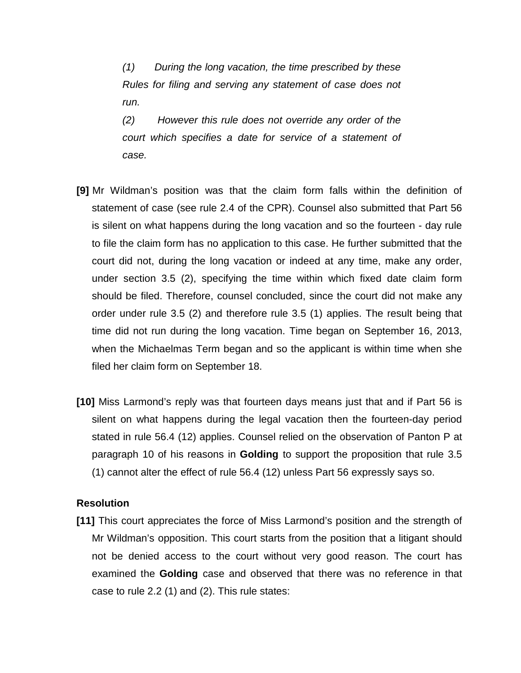*(1) During the long vacation, the time prescribed by these Rules for filing and serving any statement of case does not run.*

*(2) However this rule does not override any order of the court which specifies a date for service of a statement of case.*

- **[9]** Mr Wildman's position was that the claim form falls within the definition of statement of case (see rule 2.4 of the CPR). Counsel also submitted that Part 56 is silent on what happens during the long vacation and so the fourteen - day rule to file the claim form has no application to this case. He further submitted that the court did not, during the long vacation or indeed at any time, make any order, under section 3.5 (2), specifying the time within which fixed date claim form should be filed. Therefore, counsel concluded, since the court did not make any order under rule 3.5 (2) and therefore rule 3.5 (1) applies. The result being that time did not run during the long vacation. Time began on September 16, 2013, when the Michaelmas Term began and so the applicant is within time when she filed her claim form on September 18.
- **[10]** Miss Larmond's reply was that fourteen days means just that and if Part 56 is silent on what happens during the legal vacation then the fourteen-day period stated in rule 56.4 (12) applies. Counsel relied on the observation of Panton P at paragraph 10 of his reasons in **Golding** to support the proposition that rule 3.5 (1) cannot alter the effect of rule 56.4 (12) unless Part 56 expressly says so.

#### **Resolution**

**[11]** This court appreciates the force of Miss Larmond's position and the strength of Mr Wildman's opposition. This court starts from the position that a litigant should not be denied access to the court without very good reason. The court has examined the **Golding** case and observed that there was no reference in that case to rule 2.2 (1) and (2). This rule states: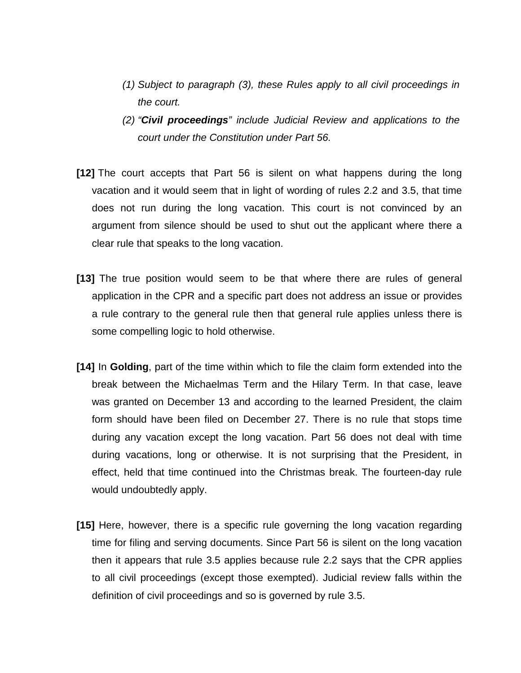- *(1) Subject to paragraph (3), these Rules apply to all civil proceedings in the court.*
- *(2) "Civil proceedings" include Judicial Review and applications to the court under the Constitution under Part 56.*
- **[12]** The court accepts that Part 56 is silent on what happens during the long vacation and it would seem that in light of wording of rules 2.2 and 3.5, that time does not run during the long vacation. This court is not convinced by an argument from silence should be used to shut out the applicant where there a clear rule that speaks to the long vacation.
- **[13]** The true position would seem to be that where there are rules of general application in the CPR and a specific part does not address an issue or provides a rule contrary to the general rule then that general rule applies unless there is some compelling logic to hold otherwise.
- **[14]** In **Golding**, part of the time within which to file the claim form extended into the break between the Michaelmas Term and the Hilary Term. In that case, leave was granted on December 13 and according to the learned President, the claim form should have been filed on December 27. There is no rule that stops time during any vacation except the long vacation. Part 56 does not deal with time during vacations, long or otherwise. It is not surprising that the President, in effect, held that time continued into the Christmas break. The fourteen-day rule would undoubtedly apply.
- **[15]** Here, however, there is a specific rule governing the long vacation regarding time for filing and serving documents. Since Part 56 is silent on the long vacation then it appears that rule 3.5 applies because rule 2.2 says that the CPR applies to all civil proceedings (except those exempted). Judicial review falls within the definition of civil proceedings and so is governed by rule 3.5.